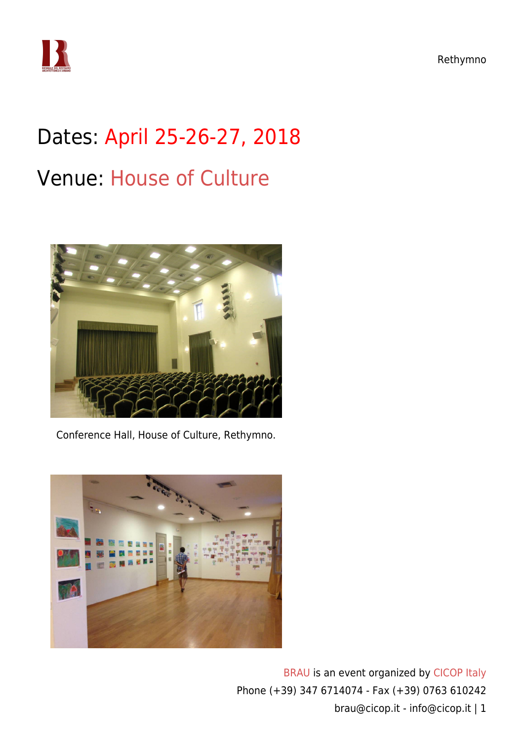Rethymno



## Dates: April 25-26-27, 2018 Venue: [House of Culture](https://www.google.com/maps/place/House+of+Culture/@35.3690459,24.4743461,15z/data=!4m5!3m4!1s0x0:0xc10c200d1fb28d8!8m2!3d35.3690459!4d24.4743461)



Conference Hall, House of Culture, Rethymno.

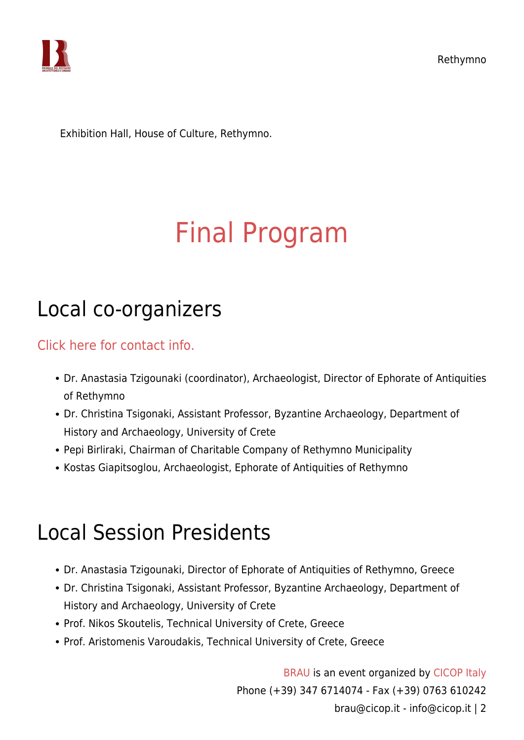



Exhibition Hall, House of Culture, Rethymno.

# [Final Program](https://www.cicop.it/brau/en/brau4-locations/rethymno/final-program/)

#### Local co-organizers

[Click here for contact info.](https://www.cicop.it/brau/it/local-organizers-contact-info/)

- Dr. Anastasia Tzigounaki (coordinator), Archaeologist, Director of Ephorate of Antiquities of Rethymno
- Dr. Christina Tsigonaki, Assistant Professor, Byzantine Archaeology, Department of History and Archaeology, University of Crete
- Pepi Birliraki, Chairman of Charitable Company of Rethymno Municipality
- Kostas Giapitsoglou, Archaeologist, Ephorate of Antiquities of Rethymno

### Local Session Presidents

- Dr. Anastasia Tzigounaki, Director of Ephorate of Antiquities of Rethymno, Greece
- Dr. Christina Tsigonaki, Assistant Professor, Byzantine Archaeology, Department of History and Archaeology, University of Crete
- Prof. Nikos Skoutelis, Technical University of Crete, Greece
- Prof. Aristomenis Varoudakis, Technical University of Crete, Greece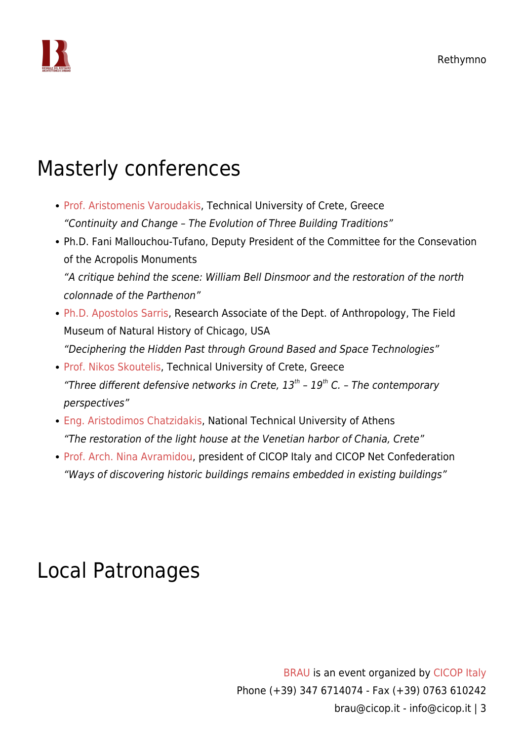

#### Masterly conferences

- [Prof. Aristomenis Varoudakis](https://www.cicop.it/brau/en/people/aristomenis-varoudakis/), Technical University of Crete, Greece "Continuity and Change – The Evolution of Three Building Traditions"
- Ph.D. Fani Mallouchou-Tufano, Deputy President of the Committee for the Consevation of the Acropolis Monuments "A critique behind the scene: William Bell Dinsmoor and the restoration of the north colonnade of the Parthenon"
- [Ph.D. Apostolos Sarris](https://www.cicop.it/brau/en/people/apostolos-sarris/), Research Associate of the Dept. of Anthropology, The Field Museum of Natural History of Chicago, USA "Deciphering the Hidden Past through Ground Based and Space Technologies"
- [Prof. Nikos Skoutelis,](https://www.cicop.it/brau/en/people/nikos-skoutelis/) Technical University of Crete, Greece "Three different defensive networks in Crete,  $13<sup>th</sup>$  -  $19<sup>th</sup>$  C. - The contemporary perspectives"
- [Eng. Aristodimos Chatzidakis](https://www.cicop.it/brau/en/people/aristodimos-chatzidakis/), National Technical University of Athens "The restoration of the light house at the Venetian harbor of Chania, Crete"
- [Prof. Arch. Nina Avramidou,](https://www.cicop.it/brau/en/people/nina-avramidou/) president of CICOP Italy and CICOP Net Confederation "Ways of discovering historic buildings remains embedded in existing buildings"

#### Local Patronages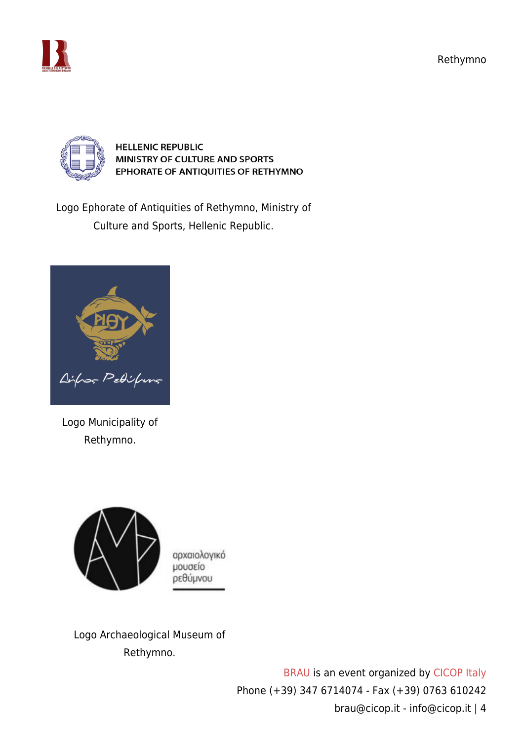Rethymno





**HELLENIC REPUBLIC** MINISTRY OF CULTURE AND SPORTS EPHORATE OF ANTIQUITIES OF RETHYMNO

Logo Ephorate of Antiquities of Rethymno, Ministry of Culture and Sports, Hellenic Republic.



Logo Municipality of Rethymno.



αρχαιολογικό μουσείο ρεθύμνου

Logo Archaeological Museum of Rethymno.